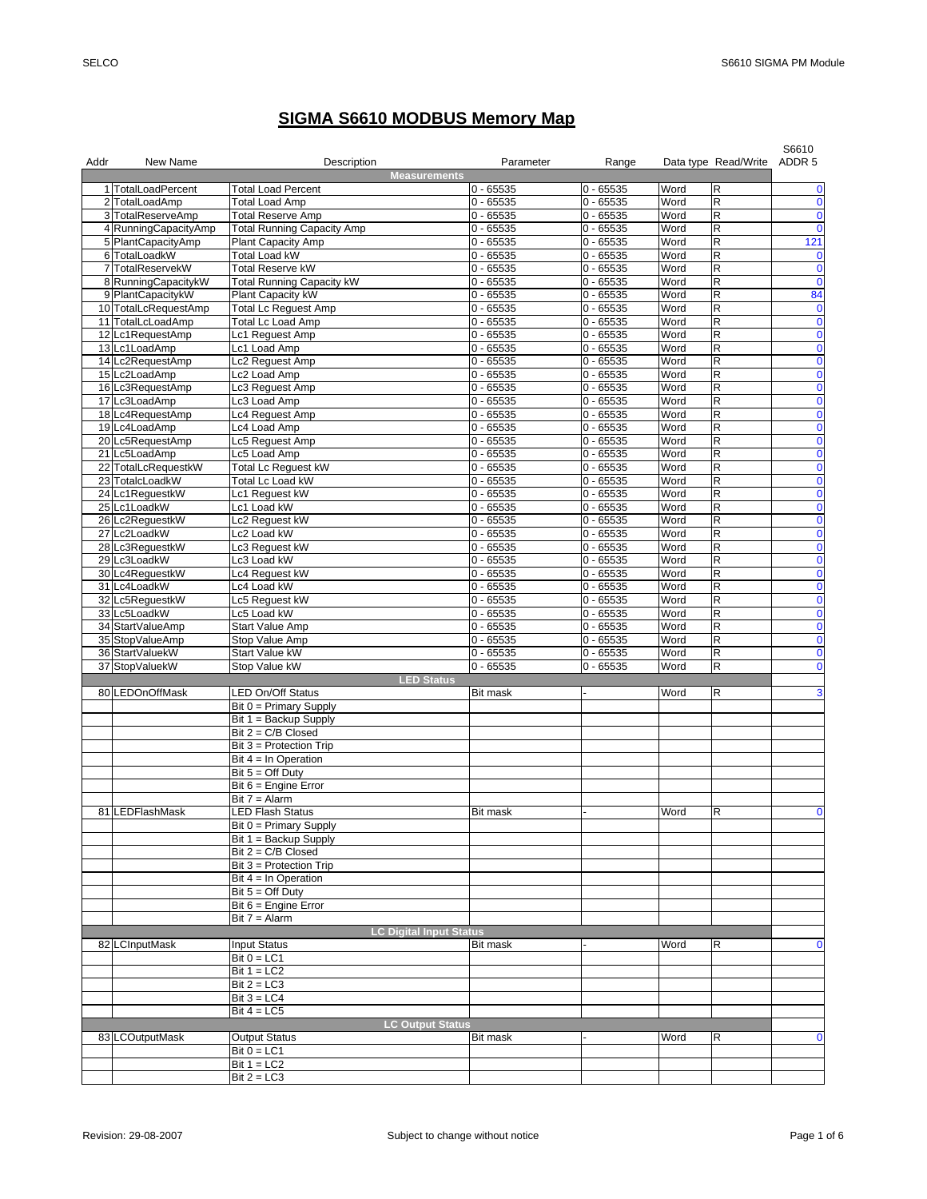## **SIGMA S6610 MODBUS Memory Map**

| Addr | New Name             | Description<br><b>Measurements</b>              | Parameter       | Range       |      | Data type Read/Write                   | S6610<br>ADDR <sub>5</sub> |
|------|----------------------|-------------------------------------------------|-----------------|-------------|------|----------------------------------------|----------------------------|
|      | 1 TotalLoadPercent   | <b>Total Load Percent</b>                       | $0 - 65535$     | $0 - 65535$ | Word | $\mathsf R$                            | 0                          |
|      | 2 TotalLoadAmp       | <b>Total Load Amp</b>                           | $0 - 65535$     | $0 - 65535$ | Word | $\overline{\mathsf{R}}$                | 0                          |
|      | 3 TotalReserveAmp    | <b>Total Reserve Amp</b>                        | $0 - 65535$     | $0 - 65535$ | Word | R                                      | $\pmb{0}$                  |
|      | 4 RunningCapacityAmp | <b>Total Running Capacity Amp</b>               | $0 - 65535$     | $0 - 65535$ | Word | $\mathsf R$                            | $\mathbf 0$                |
|      | 5 PlantCapacityAmp   | Plant Capacity Amp                              | $0 - 65535$     | $0 - 65535$ | Word | $\overline{\mathsf{R}}$                | 121                        |
|      | 6 TotalLoadkW        | <b>Total Load kW</b>                            | $0 - 65535$     | $0 - 65535$ | Word | $\mathsf R$                            | $\mathbf 0$                |
| 7    | TotalReservekW       | <b>Total Reserve kW</b>                         | $0 - 65535$     | $0 - 65535$ | Word | $\overline{\mathsf{R}}$                | $\mathbf 0$                |
|      | 8 RunningCapacitykW  | <b>Total Running Capacity kW</b>                | $0 - 65535$     | $0 - 65535$ | Word | R                                      | $\mathbf 0$                |
|      | 9 PlantCapacitykW    | Plant Capacity kW                               | $0 - 65535$     | $0 - 65535$ | Word | $\mathsf R$                            | 84                         |
|      | 10 TotalLcRequestAmp | <b>Total Lc Reguest Amp</b>                     | $0 - 65535$     | $0 - 65535$ | Word | R                                      | $\bf{0}$                   |
|      | 11 TotalLcLoadAmp    | <b>Total Lc Load Amp</b>                        | $0 - 65535$     | $0 - 65535$ | Word | $\mathsf R$                            | $\overline{\mathbf{0}}$    |
|      | 12 Lc1RequestAmp     | Lc1 Reguest Amp                                 | $0 - 65535$     | $0 - 65535$ | Word | $\mathsf R$                            | $\pmb{0}$                  |
|      | 13 Lc1LoadAmp        | Lc1 Load Amp                                    | $0 - 65535$     | $0 - 65535$ | Word | $\overline{\mathsf{R}}$                | $\pmb{0}$                  |
|      | 14 Lc2RequestAmp     | Lc2 Reguest Amp                                 | $0 - 65535$     | $0 - 65535$ | Word | R                                      | $\pmb{0}$                  |
|      | 15 Lc2LoadAmp        | Lc2 Load Amp                                    | $0 - 65535$     | $0 - 65535$ | Word | $\mathsf R$                            | $\pmb{0}$                  |
|      | 16 Lc3RequestAmp     | Lc3 Reguest Amp                                 | $0 - 65535$     | $0 - 65535$ | Word | $\mathsf R$                            | $\pmb{0}$                  |
|      | 17 Lc3LoadAmp        | Lc3 Load Amp                                    | $0 - 65535$     | $0 - 65535$ | Word | $\mathsf R$                            | $\overline{\mathbf{0}}$    |
|      | 18 Lc4RequestAmp     | Lc4 Reguest Amp                                 | $0 - 65535$     | $0 - 65535$ | Word | $\overline{\mathsf{R}}$                | $\bullet$                  |
|      | 19 Lc4LoadAmp        | Lc4 Load Amp                                    | $0 - 65535$     | $0 - 65535$ | Word | $\mathsf R$                            | $\pmb{0}$                  |
|      | 20 Lc5RequestAmp     | Lc5 Request Amp                                 | $0 - 65535$     | $0 - 65535$ | Word | $\mathsf R$                            | $\pmb{0}$                  |
|      | 21 Lc5LoadAmp        | Lc5 Load Amp                                    | $0 - 65535$     | $0 - 65535$ | Word | R                                      | $\pmb{0}$                  |
|      | 22 TotalLcRequestkW  | <b>Total Lc Reguest kW</b>                      | $0 - 65535$     | $0 - 65535$ | Word | $\mathsf R$                            | 0                          |
|      | 23 TotalcLoadkW      | Total Lc Load kW                                | $0 - 65535$     | $0 - 65535$ | Word | $\mathsf R$                            | $\pmb{0}$                  |
|      | 24 Lc1RequestkW      | Lc1 Request kW                                  | $0 - 65535$     | $0 - 65535$ | Word | $\mathsf R$                            | $\overline{\mathbf{0}}$    |
|      | 25 Lc1LoadkW         | Lc1 Load kW                                     | $0 - 65535$     | $0 - 65535$ | Word | $\mathsf R$                            | $\pmb{0}$                  |
|      | 26 Lc2RequestkW      | Lc2 Reguest kW                                  | $0 - 65535$     | $0 - 65535$ | Word | $\mathsf R$                            | $\pmb{0}$                  |
|      | 27 Lc2LoadkW         | Lc2 Load kW                                     | $0 - 65535$     | $0 - 65535$ | Word | R                                      | $\pmb{0}$                  |
|      | 28 Lc3ReguestkW      | Lc3 Request kW                                  | $0 - 65535$     | $0 - 65535$ | Word | $\mathsf R$                            | $\pmb{0}$                  |
|      | 29 Lc3LoadkW         | Lc3 Load kW                                     | $0 - 65535$     | $0 - 65535$ | Word | $\mathsf R$                            | $\pmb{0}$                  |
|      | 30 Lc4ReguestkW      | Lc4 Reguest kW                                  | $0 - 65535$     | $0 - 65535$ | Word | $\mathsf R$                            | $\overline{\mathbf{0}}$    |
|      | 31 Lc4LoadkW         | Lc4 Load kW                                     | $0 - 65535$     | $0 - 65535$ | Word | $\mathsf R$                            | $\mathbf 0$                |
|      | 32 Lc5ReguestkW      | Lc5 Reguest kW                                  | $0 - 65535$     | $0 - 65535$ | Word | $\mathsf R$                            | $\mathbf 0$                |
|      | 33 Lc5LoadkW         | Lc5 Load kW                                     | $0 - 65535$     | $0 - 65535$ | Word | R                                      | 0                          |
|      | 34 StartValueAmp     | <b>Start Value Amp</b>                          | $0 - 65535$     | $0 - 65535$ | Word | R                                      | 0                          |
|      | 35 StopValueAmp      | Stop Value Amp                                  | $0 - 65535$     | $0 - 65535$ | Word | $\mathsf R$                            | 0                          |
|      | 36 StartValuekW      | Start Value kW                                  | $0 - 65535$     | $0 - 65535$ | Word | $\mathsf R$<br>$\overline{\mathsf{R}}$ | $\pmb{0}$                  |
|      | 37 StopValuekW       | Stop Value kW                                   | $0 - 65535$     | $0 - 65535$ | Word |                                        | $\bf{0}$                   |
|      |                      | <b>LED Status</b>                               |                 |             |      | $\mathsf R$                            | 3                          |
|      | 80 LEDOnOffMask      | <b>LED On/Off Status</b>                        | <b>Bit mask</b> |             | Word |                                        |                            |
|      |                      | $Bit 0 = Primary$ Supply                        |                 |             |      |                                        |                            |
|      |                      | Bit $1 =$ Backup Supply<br>Bit $2 = C/B$ Closed |                 |             |      |                                        |                            |
|      |                      | Bit 3 = Protection Trip                         |                 |             |      |                                        |                            |
|      |                      | Bit $4 = \ln$ Operation                         |                 |             |      |                                        |                            |
|      |                      | Bit $5 =$ Off Duty                              |                 |             |      |                                        |                            |
|      |                      | Bit $6 =$ Engine Error                          |                 |             |      |                                        |                            |
|      |                      | Bit $7 =$ Alarm                                 |                 |             |      |                                        |                            |
|      | 81 LEDFlashMask      | <b>LED Flash Status</b>                         | <b>Bit mask</b> |             | Word | $\mathsf R$                            | $\mathbf 0$                |
|      |                      | Bit 0 = Primary Supply                          |                 |             |      |                                        |                            |
|      |                      | Bit 1 = Backup Supply                           |                 |             |      |                                        |                            |
|      |                      | Bit $2 = C/B$ Closed                            |                 |             |      |                                        |                            |
|      |                      | Bit 3 = Protection Trip                         |                 |             |      |                                        |                            |
|      |                      | Bit $4 = \ln$ Operation                         |                 |             |      |                                        |                            |
|      |                      | Bit $5 =$ Off Duty                              |                 |             |      |                                        |                            |
|      |                      | Bit $6 =$ Engine Error                          |                 |             |      |                                        |                            |
|      |                      | Bit $7 =$ Alarm                                 |                 |             |      |                                        |                            |
|      |                      | <b>LC Digital Input Status</b>                  |                 |             |      |                                        |                            |
|      | 82 LCInputMask       | <b>Input Status</b>                             | <b>Bit mask</b> |             | Word | R                                      | 0                          |
|      |                      | Bit $0 = LC1$                                   |                 |             |      |                                        |                            |
|      |                      | Bit $1 = LC2$                                   |                 |             |      |                                        |                            |
|      |                      | Bit $2 = LC3$                                   |                 |             |      |                                        |                            |
|      |                      | Bit $3 = LC4$                                   |                 |             |      |                                        |                            |
|      |                      | Bit $4 = LC5$                                   |                 |             |      |                                        |                            |
|      |                      | <b>LC Output Status</b>                         |                 |             |      |                                        |                            |
|      | 83 LCOutputMask      | <b>Output Status</b>                            | <b>Bit mask</b> |             | Word | R                                      | 0                          |
|      |                      | Bit $0 = LC1$                                   |                 |             |      |                                        |                            |
|      |                      | Bit $1 = LC2$                                   |                 |             |      |                                        |                            |
|      |                      | Bit $2 = LC3$                                   |                 |             |      |                                        |                            |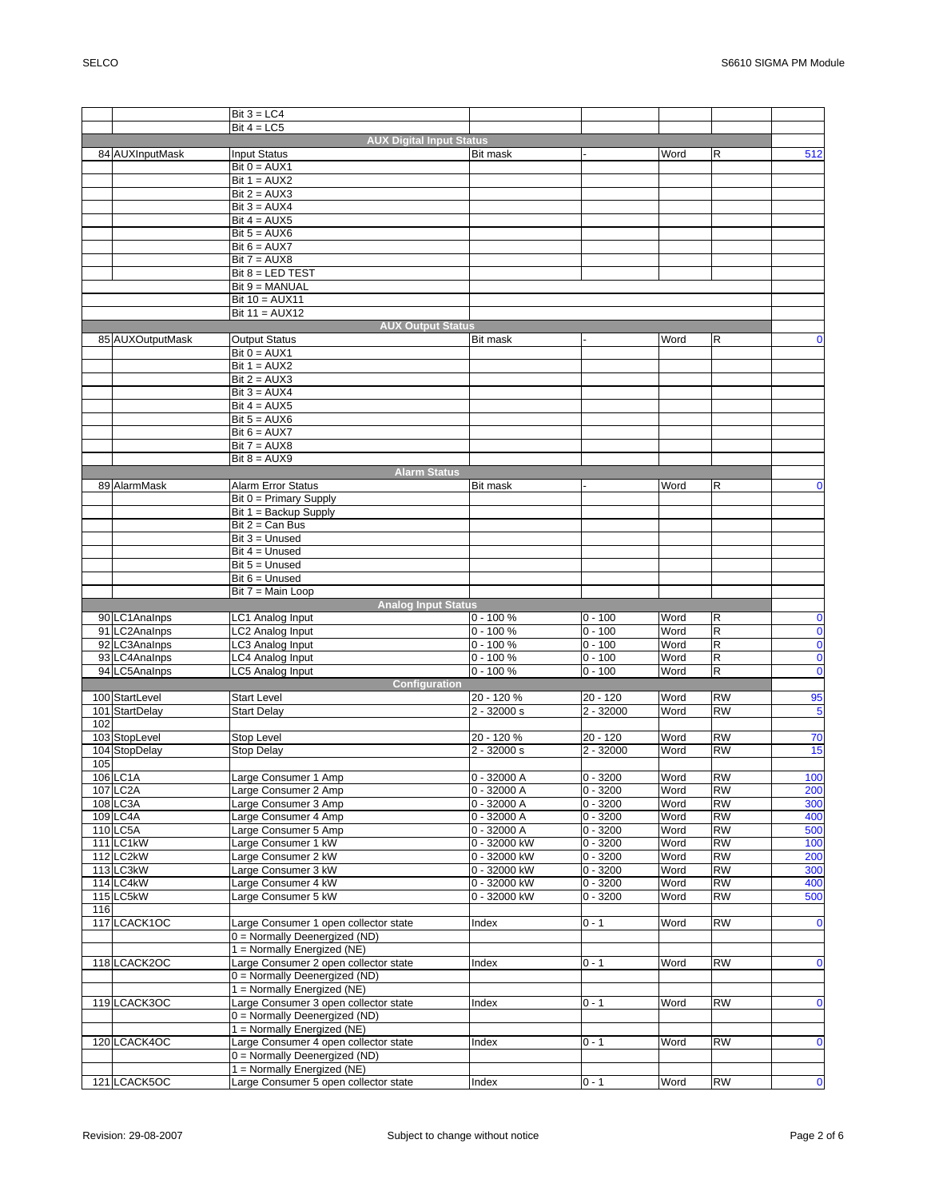|     |                                | Bit $3 = LC4$                                                |                 |             |      |             |                                      |
|-----|--------------------------------|--------------------------------------------------------------|-----------------|-------------|------|-------------|--------------------------------------|
|     |                                | Bit $4 = LC5$                                                |                 |             |      |             |                                      |
|     |                                | <b>AUX Digital Input Status</b>                              |                 |             |      |             |                                      |
|     | 84 AUXInputMask                | <b>Input Status</b>                                          | <b>Bit mask</b> |             | Word | R           | 512                                  |
|     |                                | $Bit 0 = AUX1$                                               |                 |             |      |             |                                      |
|     |                                | Bit $1 = AUX2$                                               |                 |             |      |             |                                      |
|     |                                | Bit $2 = AUX3$                                               |                 |             |      |             |                                      |
|     |                                | Bit $3 = AUX4$                                               |                 |             |      |             |                                      |
|     |                                | Bit $4 = AUX5$                                               |                 |             |      |             |                                      |
|     |                                | Bit $5 = \text{AUX6}$                                        |                 |             |      |             |                                      |
|     |                                | Bit $6 = AUX7$                                               |                 |             |      |             |                                      |
|     |                                | $Bit 7 = AUX8$                                               |                 |             |      |             |                                      |
|     |                                | Bit 8 = LED TEST                                             |                 |             |      |             |                                      |
|     |                                | Bit 9 = MANUAL                                               |                 |             |      |             |                                      |
|     |                                | Bit $10 = \text{AUX11}$                                      |                 |             |      |             |                                      |
|     |                                | Bit $11 = \text{AUX12}$                                      |                 |             |      |             |                                      |
|     |                                | <b>AUX Output Status</b>                                     |                 |             |      |             |                                      |
|     | 85 AUXOutputMask               | <b>Output Status</b>                                         | <b>Bit mask</b> |             | Word | R           | $\bf{0}$                             |
|     |                                | $Bit 0 = AUX1$                                               |                 |             |      |             |                                      |
|     |                                | Bit $1 = AUX2$                                               |                 |             |      |             |                                      |
|     |                                | Bit $2 = AUX3$                                               |                 |             |      |             |                                      |
|     |                                | Bit $3 = AUX4$                                               |                 |             |      |             |                                      |
|     |                                | Bit $4 = AUX5$                                               |                 |             |      |             |                                      |
|     |                                | Bit $5 = \text{AUX6}$                                        |                 |             |      |             |                                      |
|     |                                | Bit $6 = AUX7$                                               |                 |             |      |             |                                      |
|     |                                | $Bit 7 = AUX8$                                               |                 |             |      |             |                                      |
|     |                                | $Bit 8 = AUX9$                                               |                 |             |      |             |                                      |
|     |                                | <b>Alarm Status</b>                                          |                 |             |      |             |                                      |
|     | 89 AlarmMask                   | Alarm Error Status                                           | <b>Bit mask</b> |             | Word | R           | $\bf{0}$                             |
|     |                                | Bit 0 = Primary Supply                                       |                 |             |      |             |                                      |
|     |                                | Bit 1 = Backup Supply                                        |                 |             |      |             |                                      |
|     |                                | Bit $2 = Can Bus$                                            |                 |             |      |             |                                      |
|     |                                | $Bit 3 = Unused$                                             |                 |             |      |             |                                      |
|     |                                | Bit $4 =$ Unused                                             |                 |             |      |             |                                      |
|     |                                | Bit $5 =$ Unused                                             |                 |             |      |             |                                      |
|     |                                | $Bit 6 = Unused$                                             |                 |             |      |             |                                      |
|     |                                | Bit 7 = Main Loop                                            |                 |             |      |             |                                      |
|     |                                |                                                              |                 |             |      |             |                                      |
|     |                                | <b>Analog Input Status</b>                                   |                 |             |      |             |                                      |
|     | 90 LC1Analnps                  | LC1 Analog Input                                             | $0 - 100 %$     | $0 - 100$   | Word | $\mathsf R$ | $\pmb{0}$                            |
|     | 91 LC2Analnps                  |                                                              | $0 - 100 %$     | $0 - 100$   | Word | R           | $\overline{\mathbf{0}}$              |
|     |                                | LC <sub>2</sub> Analog Input<br>LC3 Analog Input             | $0 - 100 %$     | $0 - 100$   | Word | R           |                                      |
|     | 92 LC3Analnps<br>93 LC4Analnps | LC4 Analog Input                                             | $0 - 100 %$     | $0 - 100$   | Word | $\mathsf R$ | $\pmb{0}$                            |
|     | 94 LC5Analnps                  | LC5 Analog Input                                             | $0 - 100 %$     | $0 - 100$   | Word | $\mathsf R$ | $\overline{\mathbf{0}}$<br>$\pmb{0}$ |
|     |                                | Configuration                                                |                 |             |      |             |                                      |
|     | 100 StartLevel                 | <b>Start Level</b>                                           | 20 - 120 %      | 20 - 120    | Word | <b>RW</b>   |                                      |
|     | 101 StartDelay                 |                                                              | $2 - 32000 s$   | $2 - 32000$ | Word | <b>RW</b>   | 95                                   |
| 102 |                                | <b>Start Delay</b>                                           |                 |             |      |             | 5                                    |
|     | 103 StopLevel                  | Stop Level                                                   | 20 - 120 %      | $20 - 120$  | Word | <b>RW</b>   | 70                                   |
|     | 104 StopDelay                  | <b>Stop Delay</b>                                            | $2 - 32000 s$   | $2 - 32000$ | Word | <b>RW</b>   | 15                                   |
| 105 |                                |                                                              |                 |             |      |             |                                      |
|     | 106 LC1A                       | Large Consumer 1 Amp                                         | 0 - 32000 A     | $0 - 3200$  | Word | <b>RW</b>   | 100                                  |
|     | 107 LC <sub>2</sub> A          | Large Consumer 2 Amp                                         | $0 - 32000 A$   | $0 - 3200$  | Word | <b>RW</b>   | 200                                  |
|     | 108 LC3A                       | Large Consumer 3 Amp                                         | 0 - 32000 A     | $0 - 3200$  | Word | <b>RW</b>   | 300                                  |
|     | 109 LC4A                       | Large Consumer 4 Amp                                         | $0 - 32000A$    | $0 - 3200$  | Word | <b>RW</b>   | 400                                  |
|     | 110 LC5A                       | Large Consumer 5 Amp                                         | $0 - 32000A$    | $0 - 3200$  | Word | <b>RW</b>   | 500                                  |
|     | 111 LC1kW                      | Large Consumer 1 kW                                          | 0 - 32000 kW    | $0 - 3200$  | Word | <b>RW</b>   | 100                                  |
|     | 112 LC2kW                      | Large Consumer 2 kW                                          | 0 - 32000 kW    | $0 - 3200$  | Word | <b>RW</b>   | 200                                  |
|     | 113 LC3kW                      | Large Consumer 3 kW                                          | 0 - 32000 kW    | $0 - 3200$  | Word | <b>RW</b>   | 300                                  |
|     | 114 LC4kW                      | Large Consumer 4 kW                                          | 0 - 32000 kW    | $0 - 3200$  | Word | <b>RW</b>   | 400                                  |
|     | 115 LC5kW                      | Large Consumer 5 kW                                          | 0 - 32000 kW    | $0 - 3200$  | Word | RW          | 500                                  |
| 116 |                                |                                                              |                 |             |      |             |                                      |
|     | 117 LCACK1OC                   | Large Consumer 1 open collector state                        | Index           | $0 - 1$     | Word | <b>RW</b>   | $\bf{0}$                             |
|     |                                | 0 = Normally Deenergized (ND)                                |                 |             |      |             |                                      |
|     |                                | 1 = Normally Energized (NE)                                  |                 |             |      |             |                                      |
|     | 118 LCACK2OC                   | Large Consumer 2 open collector state                        | Index           | $0 - 1$     | Word | <b>RW</b>   | $\mathbf 0$                          |
|     |                                |                                                              |                 |             |      |             |                                      |
|     |                                | 0 = Normally Deenergized (ND)                                |                 |             |      |             |                                      |
|     |                                | 1 = Normally Energized (NE)                                  |                 | $0 - 1$     |      | <b>RW</b>   |                                      |
|     | 119 LCACK3OC                   | Large Consumer 3 open collector state                        | Index           |             | Word |             | $\mathbf 0$                          |
|     |                                | 0 = Normally Deenergized (ND)                                |                 |             |      |             |                                      |
|     |                                | 1 = Normally Energized (NE)                                  |                 |             |      |             |                                      |
|     | 120 LCACK4OC                   | Large Consumer 4 open collector state                        | Index           | $0 - 1$     | Word | <b>RW</b>   | $\mathbf 0$                          |
|     |                                | 0 = Normally Deenergized (ND)<br>1 = Normally Energized (NE) |                 |             |      |             |                                      |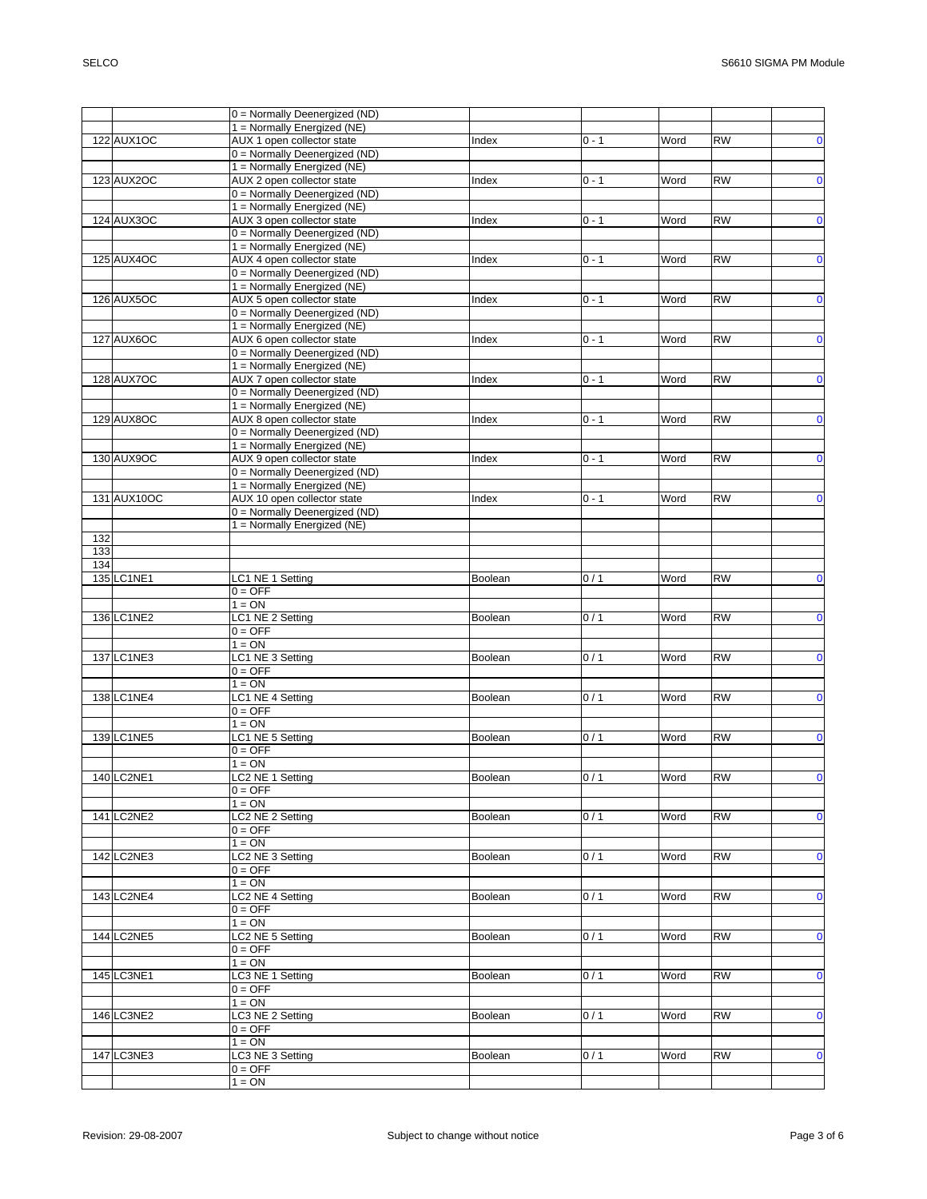|     |                   | 0 = Normally Deenergized (ND) |                |         |      |           |             |
|-----|-------------------|-------------------------------|----------------|---------|------|-----------|-------------|
|     |                   | 1 = Normally Energized (NE)   |                |         |      |           |             |
|     | 122 AUX1OC        | AUX 1 open collector state    | Index          | $0 - 1$ | Word | <b>RW</b> | $\pmb{0}$   |
|     |                   | 0 = Normally Deenergized (ND) |                |         |      |           |             |
|     |                   | 1 = Normally Energized (NE)   |                |         |      |           |             |
|     | 123 AUX2OC        | AUX 2 open collector state    | Index          | $0 - 1$ | Word | <b>RW</b> | $\mathbf 0$ |
|     |                   | 0 = Normally Deenergized (ND) |                |         |      |           |             |
|     |                   | 1 = Normally Energized (NE)   |                |         |      |           |             |
|     | 124 AUX3OC        | AUX 3 open collector state    | Index          | $0 - 1$ | Word | <b>RW</b> | $\mathbf 0$ |
|     |                   | 0 = Normally Deenergized (ND) |                |         |      |           |             |
|     |                   | 1 = Normally Energized (NE)   |                |         |      |           |             |
|     | 125 AUX4OC        | AUX 4 open collector state    | Index          | $0 - 1$ | Word | <b>RW</b> | $\mathbf 0$ |
|     |                   |                               |                |         |      |           |             |
|     |                   | 0 = Normally Deenergized (ND) |                |         |      |           |             |
|     |                   | 1 = Normally Energized (NE)   |                |         |      |           |             |
|     | 126 AUX5OC        | AUX 5 open collector state    | Index          | $0 - 1$ | Word | <b>RW</b> | $\mathbf 0$ |
|     |                   | 0 = Normally Deenergized (ND) |                |         |      |           |             |
|     |                   | $1 =$ Normally Energized (NE) |                |         |      |           |             |
|     | 127 AUX6OC        | AUX 6 open collector state    | Index          | $0 - 1$ | Word | <b>RW</b> | $\mathbf 0$ |
|     |                   | 0 = Normally Deenergized (ND) |                |         |      |           |             |
|     |                   | 1 = Normally Energized (NE)   |                |         |      |           |             |
|     | 128 AUX7OC        | AUX 7 open collector state    | Index          | $0 - 1$ | Word | <b>RW</b> | $\mathbf 0$ |
|     |                   | 0 = Normally Deenergized (ND) |                |         |      |           |             |
|     |                   | $1 =$ Normally Energized (NE) |                |         |      |           |             |
|     | <b>129 AUX8OC</b> | AUX 8 open collector state    | Index          | $0 - 1$ | Word | <b>RW</b> | $\mathbf 0$ |
|     |                   | 0 = Normally Deenergized (ND) |                |         |      |           |             |
|     |                   | 1 = Normally Energized (NE)   |                |         |      |           |             |
|     | 130 AUX9OC        | AUX 9 open collector state    | Index          | $0 - 1$ | Word | <b>RW</b> | $\mathbf 0$ |
|     |                   | 0 = Normally Deenergized (ND) |                |         |      |           |             |
|     |                   | 1 = Normally Energized (NE)   |                |         |      |           |             |
|     |                   |                               |                |         |      |           |             |
|     | 131 AUX10OC       | AUX 10 open collector state   | Index          | $0 - 1$ | Word | <b>RW</b> | $\mathbf 0$ |
|     |                   | 0 = Normally Deenergized (ND) |                |         |      |           |             |
|     |                   | 1 = Normally Energized (NE)   |                |         |      |           |             |
| 132 |                   |                               |                |         |      |           |             |
| 133 |                   |                               |                |         |      |           |             |
| 134 |                   |                               |                |         |      |           |             |
|     | 135 LC1NE1        | LC1 NE 1 Setting              | Boolean        | 0/1     | Word | <b>RW</b> | $\bf{0}$    |
|     |                   | $0 = OFF$                     |                |         |      |           |             |
|     |                   | $1 = ON$                      |                |         |      |           |             |
|     | 136 LC1NE2        | LC1 NE 2 Setting              | <b>Boolean</b> | 0/1     | Word | <b>RW</b> | $\mathbf 0$ |
|     |                   | $0 = OFF$                     |                |         |      |           |             |
|     |                   | $1 = ON$                      |                |         |      |           |             |
|     | 137 LC1NE3        | LC1 NE 3 Setting              | Boolean        | 0/1     | Word | <b>RW</b> | $\mathbf 0$ |
|     |                   | $0 = OFF$                     |                |         |      |           |             |
|     |                   | $1 = ON$                      |                |         |      |           |             |
|     | 138 LC1NE4        | LC1 NE 4 Setting              | Boolean        | 0/1     | Word | <b>RW</b> | $\mathbf 0$ |
|     |                   |                               |                |         |      |           |             |
|     |                   | $0 = OFF$                     |                |         |      |           |             |
|     |                   | $1 = ON$                      |                |         |      |           |             |
|     | 139 LC1NE5        | LC1 NE 5 Setting              | Boolean        | 0/1     | Word | <b>RW</b> | $\mathbf 0$ |
|     |                   | $0 = OFF$                     |                |         |      |           |             |
|     |                   | $1 = ON$                      |                |         |      |           |             |
|     | 140 LC2NE1        | LC2 NE 1 Setting              | Boolean        | 0/1     | Word | <b>RW</b> | $\mathbf 0$ |
|     |                   | $0 = OFF$                     |                |         |      |           |             |
|     |                   | $1 = ON$                      |                |         |      |           |             |
|     | 141 LC2NE2        | LC2 NE 2 Setting              | Boolean        | 0/1     | Word | <b>RW</b> | $\mathbf 0$ |
|     |                   | $0 = OFF$                     |                |         |      |           |             |
|     |                   | $1 = ON$                      |                |         |      |           |             |
|     | 142 LC2NE3        |                               |                |         |      | <b>RW</b> | $\mathbf 0$ |
|     |                   |                               |                | 0/1     | Word |           |             |
|     |                   | LC2 NE 3 Setting              | Boolean        |         |      |           |             |
|     |                   | $0 = OFF$                     |                |         |      |           |             |
|     |                   | $1 = ON$                      |                |         |      |           |             |
|     | 143 LC2NE4        | LC2 NE 4 Setting              | Boolean        | 0/1     | Word | <b>RW</b> | $\bf{0}$    |
|     |                   | $0 = OFF$                     |                |         |      |           |             |
|     |                   | $1 = ON$                      |                |         |      |           |             |
|     | 144 LC2NE5        | LC2 NE 5 Setting              | Boolean        | 0/1     | Word | <b>RW</b> | $\mathbf 0$ |
|     |                   | $0 = OFF$                     |                |         |      |           |             |
|     |                   | $1 = ON$                      |                |         |      |           |             |
|     | 145 LC3NE1        | LC3 NE 1 Setting              | Boolean        | 0/1     | Word | <b>RW</b> | $\mathbf 0$ |
|     |                   | $0 = OFF$                     |                |         |      |           |             |
|     |                   | $1 = ON$                      |                |         |      |           |             |
|     | 146 LC3NE2        | LC3 NE 2 Setting              | Boolean        | 0/1     | Word | <b>RW</b> | $\mathbf 0$ |
|     |                   | $0 = OFF$                     |                |         |      |           |             |
|     |                   | $1 = ON$                      |                |         |      |           |             |
|     | 147 LC3NE3        | LC3 NE 3 Setting              | Boolean        | 0/1     | Word | <b>RW</b> | $\mathbf 0$ |
|     |                   | $0 = OFF$                     |                |         |      |           |             |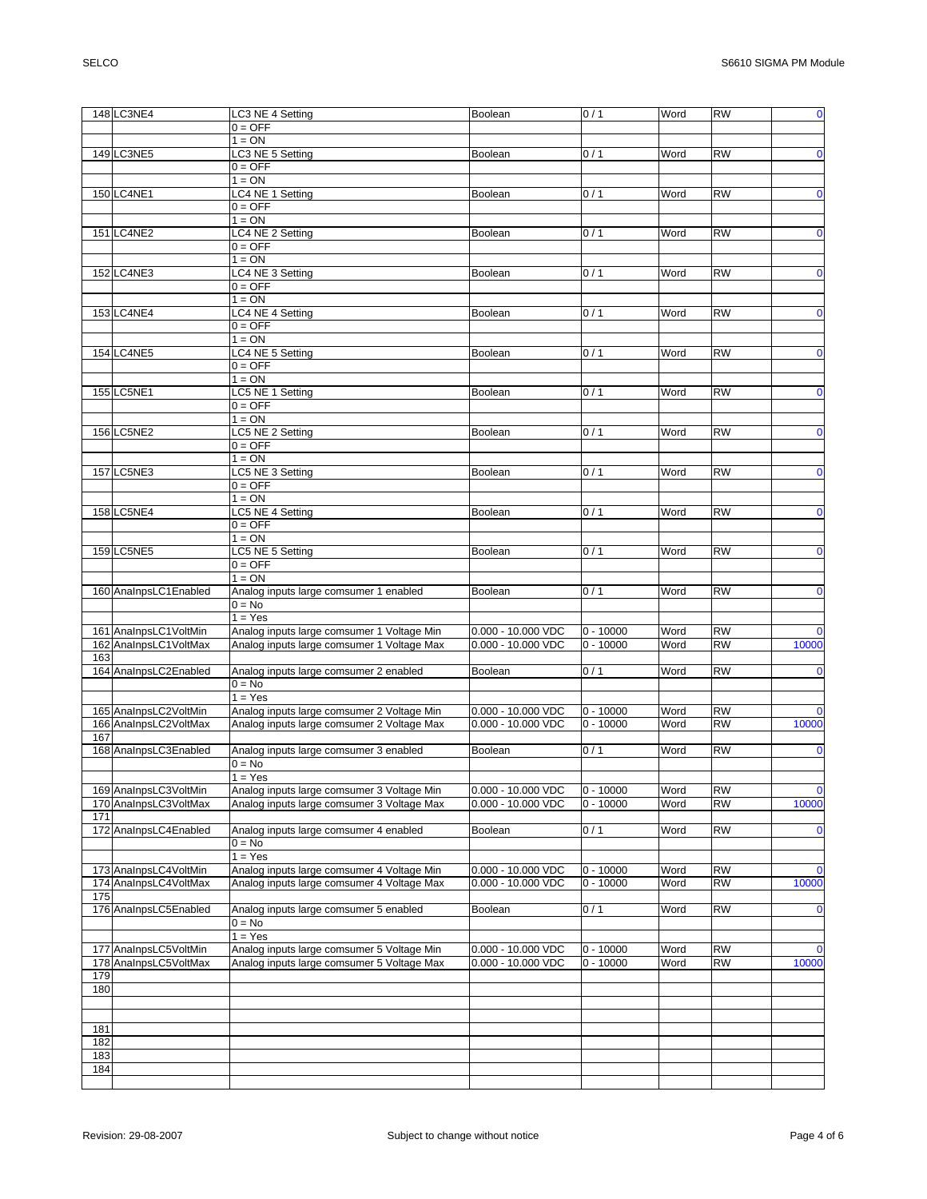|     | 148 LC3NE4            | LC3 NE 4 Setting                                   | Boolean              | 0/1         | Word | <b>RW</b>       | $\overline{\mathbf{0}}$ |
|-----|-----------------------|----------------------------------------------------|----------------------|-------------|------|-----------------|-------------------------|
|     |                       | $0 = OFF$                                          |                      |             |      |                 |                         |
|     |                       | $1 = ON$                                           |                      |             |      |                 |                         |
|     | 149 LC3NE5            | LC3 NE 5 Setting                                   | Boolean              | 0/1         | Word | <b>RW</b>       | $\mathbf 0$             |
|     |                       | $0 = OFF$                                          |                      |             |      |                 |                         |
|     |                       | $1 = ON$                                           |                      |             |      |                 |                         |
|     | 150 LC4NE1            | LC4 NE 1 Setting                                   | Boolean              | 0/1         | Word | <b>RW</b>       | $\mathbf 0$             |
|     |                       | $0 = OFF$                                          |                      |             |      |                 |                         |
|     |                       | $1 = ON$                                           |                      |             |      |                 |                         |
|     | 151 LC4NE2            | LC4 NE 2 Setting                                   | Boolean              | 0/1         | Word | <b>RW</b>       | $\mathbf 0$             |
|     |                       | $0 = OFF$                                          |                      |             |      |                 |                         |
|     |                       | $1 = ON$                                           |                      |             |      |                 |                         |
|     | 152 LC4NE3            |                                                    |                      | 0/1         | Word | <b>RW</b>       | $\mathbf 0$             |
|     |                       | LC4 NE 3 Setting                                   | Boolean              |             |      |                 |                         |
|     |                       | $0 = OFF$                                          |                      |             |      |                 |                         |
|     |                       | $1 = ON$                                           |                      |             |      |                 |                         |
|     | 153 LC4NE4            | LC4 NE 4 Setting                                   | Boolean              | 0/1         | Word | $\overline{RW}$ | $\mathbf 0$             |
|     |                       | $0 = OFF$                                          |                      |             |      |                 |                         |
|     |                       | $1 = ON$                                           |                      |             |      |                 |                         |
|     | 154 LC4NE5            | LC4 NE 5 Setting                                   | Boolean              | 0/1         | Word | <b>RW</b>       | $\mathbf 0$             |
|     |                       | $0 = OFF$                                          |                      |             |      |                 |                         |
|     |                       | $1 = ON$                                           |                      |             |      |                 |                         |
|     | 155 LC5NE1            | LC5 NE 1 Setting                                   | Boolean              | 0/1         | Word | <b>RW</b>       | $\bullet$               |
|     |                       | $0 = OFF$                                          |                      |             |      |                 |                         |
|     |                       | $1 = ON$                                           |                      |             |      |                 |                         |
|     | 156 LC5NE2            | LC5 NE 2 Setting                                   | Boolean              | 0/1         | Word | <b>RW</b>       | $\mathbf 0$             |
|     |                       | $0 = OFF$                                          |                      |             |      |                 |                         |
|     |                       | $1 = ON$                                           |                      |             |      |                 |                         |
|     | 157 LC5NE3            | LC5 NE 3 Setting                                   | Boolean              | 0/1         | Word | <b>RW</b>       | $\mathbf 0$             |
|     |                       | $0 = OFF$                                          |                      |             |      |                 |                         |
|     |                       | $1 = ON$                                           |                      |             |      |                 |                         |
|     | 158 LC5NE4            | LC5 NE 4 Setting                                   | Boolean              | 0/1         | Word | <b>RW</b>       | $\mathbf 0$             |
|     |                       | $0 = OFF$                                          |                      |             |      |                 |                         |
|     |                       | $1 = ON$                                           |                      |             |      |                 |                         |
|     | 159 LC5NE5            | LC5 NE 5 Setting                                   | Boolean              | 0/1         | Word | <b>RW</b>       | $\mathbf 0$             |
|     |                       | $0 = OFF$                                          |                      |             |      |                 |                         |
|     |                       | $1 = ON$                                           |                      |             |      |                 |                         |
|     | 160 AnalnpsLC1Enabled | Analog inputs large comsumer 1 enabled             | <b>Boolean</b>       | 0/1         | Word | <b>RW</b>       | $\mathbf 0$             |
|     |                       | $0 = No$                                           |                      |             |      |                 |                         |
|     |                       | $1 = Yes$                                          |                      |             |      |                 |                         |
|     | 161 AnalnpsLC1VoltMin | Analog inputs large comsumer 1 Voltage Min         | 0.000 - 10.000 VDC   | $0 - 10000$ | Word | <b>RW</b>       | $\mathbf 0$             |
|     | 162 AnalnpsLC1VoltMax | Analog inputs large comsumer 1 Voltage Max         | 0.000 - 10.000 VDC   | $0 - 10000$ | Word | <b>RW</b>       | 10000                   |
| 163 |                       |                                                    |                      |             |      |                 |                         |
|     | 164 AnalnpsLC2Enabled |                                                    | Boolean              | 0/1         | Word | <b>RW</b>       | $\mathbf 0$             |
|     |                       | Analog inputs large comsumer 2 enabled<br>$0 = No$ |                      |             |      |                 |                         |
|     |                       | $1 = Yes$                                          |                      |             |      |                 |                         |
|     |                       | Analog inputs large comsumer 2 Voltage Min         |                      |             |      |                 |                         |
|     | 165 AnalnpsLC2VoltMin |                                                    | 0.000 - 10.000 VDC   | $0 - 10000$ | Word | <b>RW</b>       | $\mathbf 0$             |
|     | 166 AnalnpsLC2VoltMax | Analog inputs large comsumer 2 Voltage Max         | 0.000 - 10.000 VDC   | $0 - 10000$ | Word | <b>RW</b>       | 10000                   |
| 167 |                       |                                                    |                      |             |      |                 |                         |
|     | 168 AnalnpsLC3Enabled | Analog inputs large comsumer 3 enabled             | <b>Boolean</b>       | 0/1         | Word | <b>RW</b>       | $\mathbf 0$             |
|     |                       | $0 = No$                                           |                      |             |      |                 |                         |
|     |                       | $1 = Yes$                                          |                      |             |      |                 |                         |
|     | 169 AnalnpsLC3VoltMin | Analog inputs large comsumer 3 Voltage Min         | 0.000 - 10.000 VDC   | $0 - 10000$ | Word | <b>RW</b>       | $\mathbf 0$             |
|     | 170 AnalnpsLC3VoltMax | Analog inputs large comsumer 3 Voltage Max         | $0.000 - 10.000$ VDC | $0 - 10000$ | Word | <b>RW</b>       | 10000                   |
| 171 |                       |                                                    |                      |             |      |                 |                         |
|     | 172 AnalnpsLC4Enabled | Analog inputs large comsumer 4 enabled             | Boolean              | 0/1         | Word | <b>RW</b>       | $\mathbf 0$             |
|     |                       | $0 = No$                                           |                      |             |      |                 |                         |
|     |                       | $1 = Yes$                                          |                      |             |      |                 |                         |
|     | 173 AnalnpsLC4VoltMin | Analog inputs large comsumer 4 Voltage Min         | 0.000 - 10.000 VDC   | $0 - 10000$ | Word | <b>RW</b>       | $\mathbf 0$             |
|     | 174 AnalnpsLC4VoltMax | Analog inputs large comsumer 4 Voltage Max         | 0.000 - 10.000 VDC   | $0 - 10000$ | Word | <b>RW</b>       | 10000                   |
| 175 |                       |                                                    |                      |             |      |                 |                         |
|     | 176 AnalnpsLC5Enabled | Analog inputs large comsumer 5 enabled             | Boolean              | 0/1         | Word | <b>RW</b>       | $\mathbf 0$             |
|     |                       | $0 = No$                                           |                      |             |      |                 |                         |
|     |                       | $1 = Yes$                                          |                      |             |      |                 |                         |
|     | 177 AnalnpsLC5VoltMin | Analog inputs large comsumer 5 Voltage Min         | 0.000 - 10.000 VDC   | $0 - 10000$ | Word | <b>RW</b>       | $\mathbf 0$             |
|     | 178 AnalnpsLC5VoltMax | Analog inputs large comsumer 5 Voltage Max         | $0.000 - 10.000$ VDC | $0 - 10000$ | Word | RW              | 10000                   |
| 179 |                       |                                                    |                      |             |      |                 |                         |
| 180 |                       |                                                    |                      |             |      |                 |                         |
|     |                       |                                                    |                      |             |      |                 |                         |
|     |                       |                                                    |                      |             |      |                 |                         |
| 181 |                       |                                                    |                      |             |      |                 |                         |
| 182 |                       |                                                    |                      |             |      |                 |                         |
| 183 |                       |                                                    |                      |             |      |                 |                         |
| 184 |                       |                                                    |                      |             |      |                 |                         |
|     |                       |                                                    |                      |             |      |                 |                         |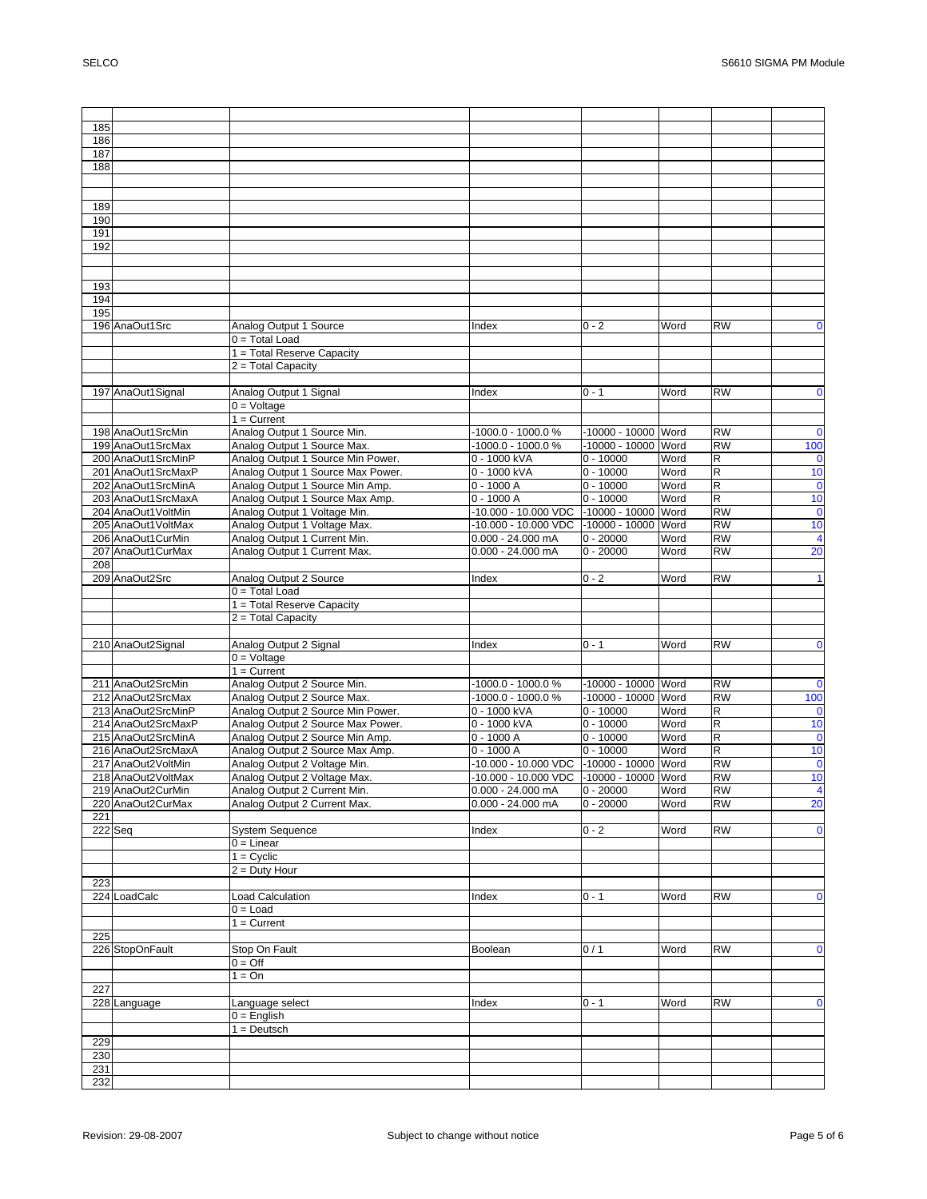| 185        |                     |                                   |                      |                     |      |                         |                         |
|------------|---------------------|-----------------------------------|----------------------|---------------------|------|-------------------------|-------------------------|
| 186        |                     |                                   |                      |                     |      |                         |                         |
| 187        |                     |                                   |                      |                     |      |                         |                         |
| 188        |                     |                                   |                      |                     |      |                         |                         |
|            |                     |                                   |                      |                     |      |                         |                         |
|            |                     |                                   |                      |                     |      |                         |                         |
| 189        |                     |                                   |                      |                     |      |                         |                         |
| 190        |                     |                                   |                      |                     |      |                         |                         |
| 191        |                     |                                   |                      |                     |      |                         |                         |
| 192        |                     |                                   |                      |                     |      |                         |                         |
|            |                     |                                   |                      |                     |      |                         |                         |
|            |                     |                                   |                      |                     |      |                         |                         |
| 193        |                     |                                   |                      |                     |      |                         |                         |
| 194        |                     |                                   |                      |                     |      |                         |                         |
| 195        |                     |                                   |                      |                     |      |                         |                         |
|            | 196 AnaOut1Src      | Analog Output 1 Source            | Index                | $0 - 2$             | Word | <b>RW</b>               | 0                       |
|            |                     | $0 = Total Load$                  |                      |                     |      |                         |                         |
|            |                     | 1 = Total Reserve Capacity        |                      |                     |      |                         |                         |
|            |                     | 2 = Total Capacity                |                      |                     |      |                         |                         |
|            |                     |                                   |                      |                     |      |                         |                         |
|            | 197 AnaOut1Signal   | Analog Output 1 Signal            | Index                | $0 - 1$             | Word | <b>RW</b>               | $\mathbf 0$             |
|            |                     | $0 =$ Voltage                     |                      |                     |      |                         |                         |
|            |                     | $1 =$ Current                     |                      |                     |      |                         |                         |
|            | 198 AnaOut1SrcMin   | Analog Output 1 Source Min.       | $-1000.0 - 1000.0 %$ | -10000 - 10000 Word |      | <b>RW</b>               | $\mathbf 0$             |
|            | 199 AnaOut1SrcMax   | Analog Output 1 Source Max.       | -1000.0 - 1000.0 %   | -10000 - 10000 Word |      | <b>RW</b>               | 100                     |
|            | 200 AnaOut1SrcMinP  | Analog Output 1 Source Min Power. | 0 - 1000 kVA         | $0 - 10000$         | Word | R                       |                         |
|            | 201 AnaOut1SrcMaxP  | Analog Output 1 Source Max Power. | 0 - 1000 kVA         | $0 - 10000$         | Word | R                       | $\mathbf 0$<br>10       |
|            | 202 AnaOut1SrcMinA  | Analog Output 1 Source Min Amp.   | $0 - 1000A$          | $0 - 10000$         | Word | $\overline{R}$          | $\overline{\mathbf{0}}$ |
|            | 203 AnaOut1SrcMaxA  |                                   | $0 - 1000A$          | $0 - 10000$         | Word | R                       | 10                      |
|            |                     | Analog Output 1 Source Max Amp.   |                      |                     |      | <b>RW</b>               |                         |
|            | 204 AnaOut1VoltMin  | Analog Output 1 Voltage Min.      | -10.000 - 10.000 VDC | $-10000 - 10000$    | Word |                         | $\mathbf 0$             |
|            | 205 AnaOut1 VoltMax | Analog Output 1 Voltage Max.      | -10.000 - 10.000 VDC | -10000 - 10000 Word |      | <b>RW</b>               | 10                      |
|            | 206 AnaOut1 CurMin  | Analog Output 1 Current Min.      | $0.000 - 24.000$ mA  | $0 - 20000$         | Word | <b>RW</b>               | $\overline{\mathbf{4}}$ |
|            | 207 AnaOut1CurMax   | Analog Output 1 Current Max.      | $0.000 - 24.000$ mA  | $0 - 20000$         | Word | <b>RW</b>               | 20                      |
| 208        |                     |                                   |                      |                     |      |                         |                         |
|            | 209 AnaOut2Src      | Analog Output 2 Source            | Index                | $0 - 2$             | Word | <b>RW</b>               | 1                       |
|            |                     | $0 = Total Load$                  |                      |                     |      |                         |                         |
|            |                     | 1 = Total Reserve Capacity        |                      |                     |      |                         |                         |
|            |                     | 2 = Total Capacity                |                      |                     |      |                         |                         |
|            |                     |                                   |                      |                     |      |                         |                         |
|            | 210 AnaOut2Signal   | Analog Output 2 Signal            | Index                | $0 - 1$             | Word | <b>RW</b>               | $\bf{0}$                |
|            |                     | $0 =$ Voltage                     |                      |                     |      |                         |                         |
|            |                     | $1 =$ Current                     |                      |                     |      |                         |                         |
|            | 211 AnaOut2SrcMin   | Analog Output 2 Source Min.       | -1000.0 - 1000.0 %   | -10000 - 10000 Word |      | <b>RW</b>               | $\bf{0}$                |
|            |                     |                                   |                      |                     |      |                         |                         |
|            | 212 AnaOut2SrcMax   | Analog Output 2 Source Max.       | -1000.0 - 1000.0 %   | -10000 - 10000 Word |      | <b>RW</b>               | 100                     |
|            | 213 AnaOut2SrcMinP  | Analog Output 2 Source Min Power. | 0 - 1000 kVA         | $0 - 10000$         | Word | $\mathsf R$             | $\mathbf 0$             |
|            | 214 AnaOut2SrcMaxP  | Analog Output 2 Source Max Power. | 0 - 1000 kVA         | $0 - 10000$         | Word | $\overline{\mathsf{R}}$ | 10                      |
|            | 215 AnaOut2SrcMinA  | Analog Output 2 Source Min Amp.   | $0 - 1000A$          | $0 - 10000$         | Word | R                       | $\bf{0}$                |
|            | 216 AnaOut2SrcMaxA  | Analog Output 2 Source Max Amp.   | $0 - 1000A$          | $0 - 10000$         | Word | R                       | 10                      |
|            | 217 AnaOut2VoltMin  | Analog Output 2 Voltage Min.      | -10.000 - 10.000 VDC | -10000 - 10000 Word |      | <b>RW</b>               | $\mathbf 0$             |
|            | 218 AnaOut2VoltMax  | Analog Output 2 Voltage Max.      | -10.000 - 10.000 VDC | -10000 - 10000 Word |      | <b>RW</b>               | 10                      |
|            | 219 AnaOut2CurMin   | Analog Output 2 Current Min.      | 0.000 - 24.000 mA    | $0 - 20000$         | Word | RW                      |                         |
|            | 220 AnaOut2CurMax   | Analog Output 2 Current Max.      | $0.000 - 24.000$ mA  | $0 - 20000$         | Word | <b>RW</b>               | 20                      |
| 221        |                     |                                   |                      |                     |      |                         |                         |
|            |                     | <b>System Sequence</b>            | Index                | $0 - 2$             | Word | RW                      | $\mathbf 0$             |
|            | 222 Seq             | $0 =$ Linear                      |                      |                     |      |                         |                         |
|            |                     | $1 = Cyclic$                      |                      |                     |      |                         |                         |
|            |                     |                                   |                      |                     |      |                         |                         |
|            |                     | $2 = \overline{Duty}$ Hour        |                      |                     |      |                         |                         |
| 223        |                     |                                   |                      |                     |      |                         |                         |
|            | 224 LoadCalc        | <b>Load Calculation</b>           | Index                | $0 - 1$             | Word | <b>RW</b>               | 0                       |
|            |                     | $0 =$ Load                        |                      |                     |      |                         |                         |
|            |                     | $1 =$ Current                     |                      |                     |      |                         |                         |
| 225        |                     |                                   |                      |                     |      |                         |                         |
|            | 226 StopOnFault     | Stop On Fault                     | Boolean              | 0/1                 | Word | <b>RW</b>               | $\mathbf 0$             |
|            |                     | $0 = \text{Off}$                  |                      |                     |      |                         |                         |
|            |                     | $1 = On$                          |                      |                     |      |                         |                         |
| 227        |                     |                                   |                      |                     |      |                         |                         |
|            | 228 Language        | Language select                   | Index                | $0 - 1$             | Word | RW                      | $\mathbf 0$             |
|            |                     | $0 =$ English                     |                      |                     |      |                         |                         |
|            |                     | $1 = Deutsch$                     |                      |                     |      |                         |                         |
| 229        |                     |                                   |                      |                     |      |                         |                         |
| 230        |                     |                                   |                      |                     |      |                         |                         |
| 231<br>232 |                     |                                   |                      |                     |      |                         |                         |